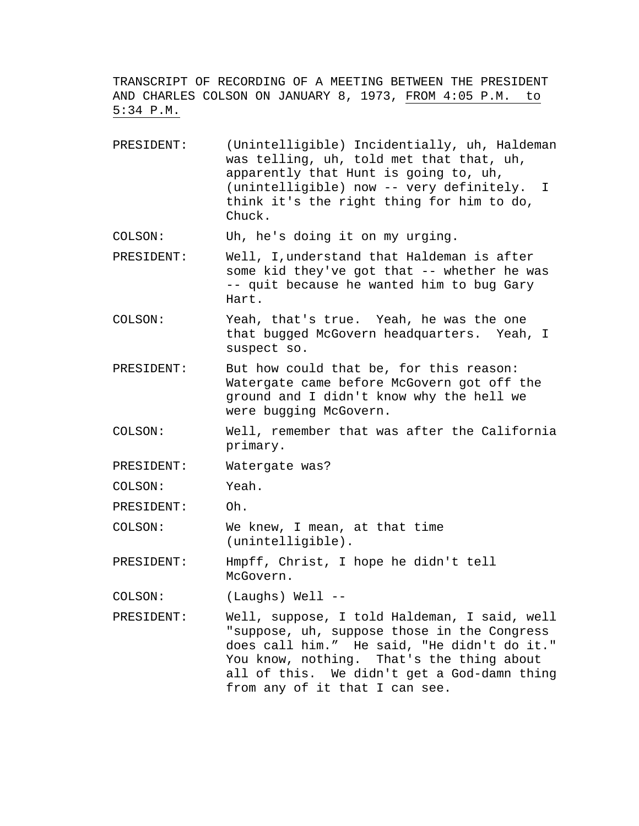TRANSCRIPT OF RECORDING OF A MEETING BETWEEN THE PRESIDENT AND CHARLES COLSON ON JANUARY 8, 1973, FROM 4:05 P.M. to 5:34 P.M.

PRESIDENT: (Unintelligible) Incidentially, uh, Haldeman was telling, uh, told met that that, uh, apparently that Hunt is going to, uh, (unintelligible) now -- very definitely. I think it's the right thing for him to do, Chuck.

COLSON: Uh, he's doing it on my urging.

- PRESIDENT: Well, I,understand that Haldeman is after some kid they've got that -- whether he was -- quit because he wanted him to bug Gary Hart.
- COLSON: Yeah, that's true. Yeah, he was the one that bugged McGovern headquarters. Yeah, I suspect so.
- PRESIDENT: But how could that be, for this reason: Watergate came before McGovern got off the ground and I didn't know why the hell we were bugging McGovern.
- COLSON: Well, remember that was after the California primary.
- PRESIDENT: Watergate was?

COLSON: Yeah.

PRESIDENT: Oh.

COLSON: We knew, I mean, at that time (unintelligible).

PRESIDENT: Hmpff, Christ, I hope he didn't tell McGovern.

COLSON: (Laughs) Well --

PRESIDENT: Well, suppose, I told Haldeman, I said, well "suppose, uh, suppose those in the Congress does call him." He said, "He didn't do it." You know, nothing. That's the thing about all of this. We didn't get a God-damn thing from any of it that I can see.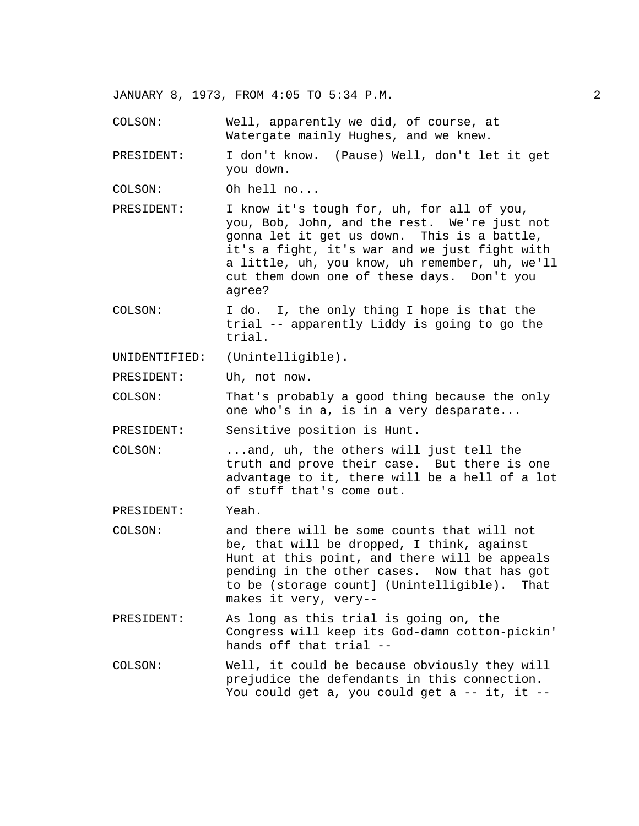COLSON: Well, apparently we did, of course, at Watergate mainly Hughes, and we knew.

PRESIDENT: I don't know. (Pause) Well, don't let it get you down.

COLSON: Oh hell no...

PRESIDENT: I know it's tough for, uh, for all of you, you, Bob, John, and the rest. We're just not gonna let it get us down. This is a battle, it's a fight, it's war and we just fight with a little, uh, you know, uh remember, uh, we'll cut them down one of these days. Don't you agree?

COLSON: I do. I, the only thing I hope is that the trial -- apparently Liddy is going to go the trial.

UNIDENTIFIED: (Unintelligible).

PRESIDENT: Uh, not now.

COLSON: That's probably a good thing because the only one who's in a, is in a very desparate...

PRESIDENT: Sensitive position is Hunt.

- COLSON: ...and, uh, the others will just tell the truth and prove their case. But there is one advantage to it, there will be a hell of a lot of stuff that's come out.
- PRESIDENT: Yeah.
- COLSON: and there will be some counts that will not be, that will be dropped, I think, against Hunt at this point, and there will be appeals pending in the other cases. Now that has got to be (storage count] (Unintelligible). That makes it very, very--
- PRESIDENT: As long as this trial is going on, the Congress will keep its God-damn cotton-pickin' hands off that trial --
- COLSON: Well, it could be because obviously they will prejudice the defendants in this connection. You could get a, you could get a  $--$  it, it  $--$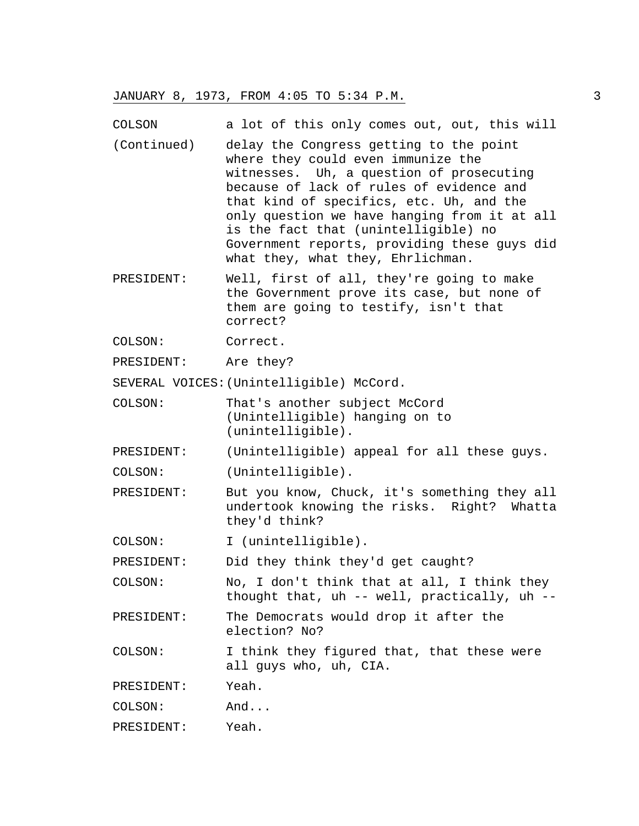COLSON a lot of this only comes out, out, this will

- (Continued) delay the Congress getting to the point where they could even immunize the witnesses. Uh, a question of prosecuting because of lack of rules of evidence and that kind of specifics, etc. Uh, and the only question we have hanging from it at all is the fact that (unintelligible) no Government reports, providing these guys did what they, what they, Ehrlichman.
- PRESIDENT: Well, first of all, they're going to make the Government prove its case, but none of them are going to testify, isn't that correct?
- COLSON: Correct.

PRESIDENT: Are they?

SEVERAL VOICES:(Unintelligible) McCord.

- COLSON: That's another subject McCord (Unintelligible) hanging on to (unintelligible).
- PRESIDENT: (Unintelligible) appeal for all these guys.
- COLSON: (Unintelligible).
- PRESIDENT: But you know, Chuck, it's something they all undertook knowing the risks. Right? Whatta they'd think?
- COLSON: I (unintelligible).

PRESIDENT: Did they think they'd get caught?

- COLSON: No, I don't think that at all, I think they thought that, uh -- well, practically, uh --
- PRESIDENT: The Democrats would drop it after the election? No?
- COLSON: I think they figured that, that these were all guys who, uh, CIA.

PRESIDENT: Yeah.

COLSON: And...

PRESIDENT: Yeah.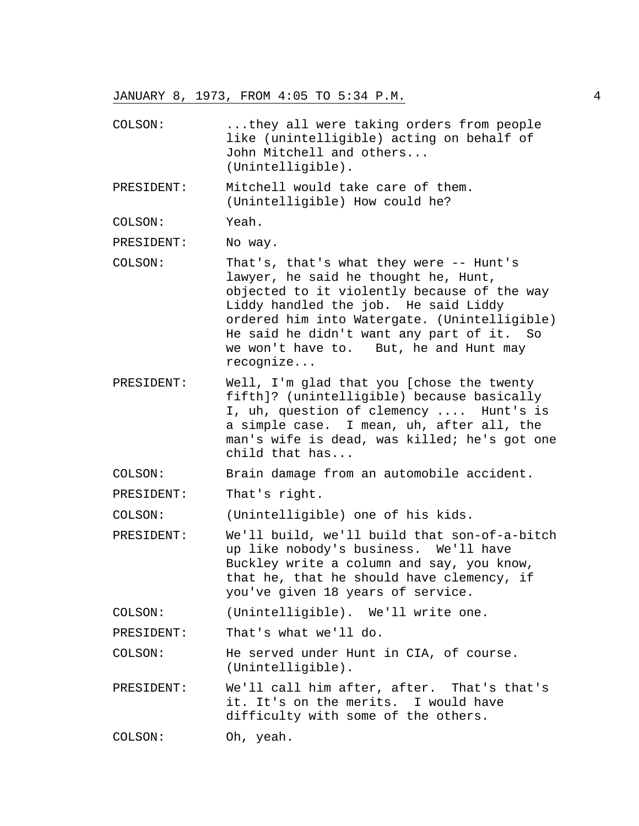COLSON: ...they all were taking orders from people like (unintelligible) acting on behalf of John Mitchell and others... (Unintelligible).

PRESIDENT: Mitchell would take care of them. (Unintelligible) How could he?

COLSON: Yeah.

PRESIDENT: No way.

- COLSON: That's, that's what they were -- Hunt's lawyer, he said he thought he, Hunt, objected to it violently because of the way Liddy handled the job. He said Liddy ordered him into Watergate. (Unintelligible) He said he didn't want any part of it. So we won't have to. But, he and Hunt may recognize...
- PRESIDENT: Well, I'm glad that you [chose the twenty fifth]? (unintelligible) because basically I, uh, question of clemency .... Hunt's is a simple case. I mean, uh, after all, the man's wife is dead, was killed; he's got one child that has...

COLSON: Brain damage from an automobile accident.

PRESIDENT: That's right.

COLSON: (Unintelligible) one of his kids.

PRESIDENT: We'll build, we'll build that son-of-a-bitch up like nobody's business. We'll have Buckley write a column and say, you know, that he, that he should have clemency, if you've given 18 years of service.

COLSON: (Unintelligible). We'll write one.

PRESIDENT: That's what we'll do.

COLSON: He served under Hunt in CIA, of course. (Unintelligible).

PRESIDENT: We'll call him after, after. That's that's it. It's on the merits. I would have difficulty with some of the others.

COLSON: Oh, yeah.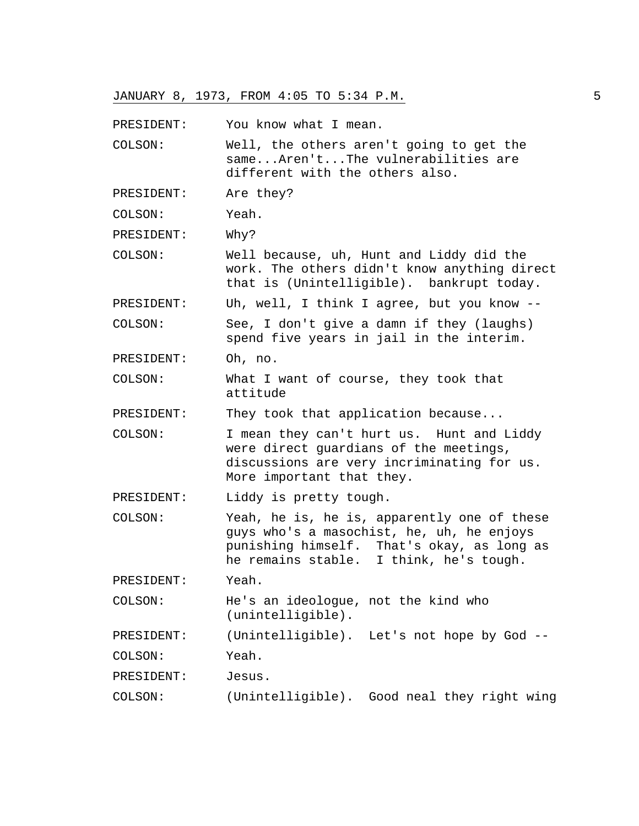PRESIDENT: You know what I mean.

COLSON: Well, the others aren't going to get the same...Aren't...The vulnerabilities are different with the others also.

PRESIDENT: Are they?

COLSON: Yeah.

PRESIDENT: Why?

COLSON: Well because, uh, Hunt and Liddy did the work. The others didn't know anything direct that is (Unintelligible). bankrupt today.

PRESIDENT: Uh, well, I think I agree, but you know --

COLSON: See, I don't give a damn if they (laughs) spend five years in jail in the interim.

PRESIDENT: Oh, no.

COLSON: What I want of course, they took that attitude

PRESIDENT: They took that application because...

COLSON: I mean they can't hurt us. Hunt and Liddy were direct guardians of the meetings, discussions are very incriminating for us. More important that they.

PRESIDENT: Liddy is pretty tough.

COLSON: Yeah, he is, he is, apparently one of these guys who's a masochist, he, uh, he enjoys punishing himself. That's okay, as long as he remains stable. I think, he's tough.

PRESIDENT: Yeah.

COLSON: He's an ideologue, not the kind who (unintelligible).

PRESIDENT: (Unintelligible). Let's not hope by God --

COLSON: Yeah.

PRESIDENT: Jesus.

COLSON: (Unintelligible). Good neal they right wing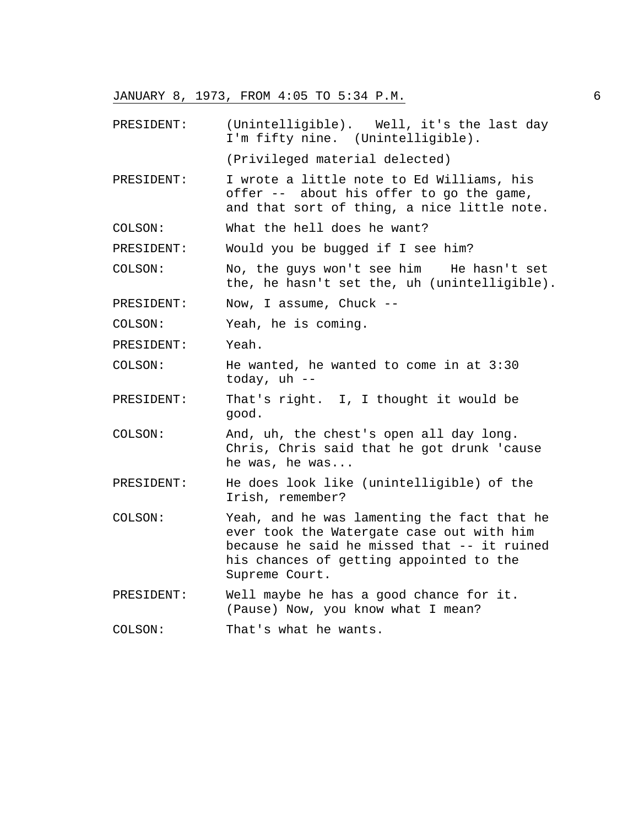- PRESIDENT: (Unintelligible). Well, it's the last day I'm fifty nine. (Unintelligible). (Privileged material delected)
- PRESIDENT: I wrote a little note to Ed Williams, his offer -- about his offer to go the game, and that sort of thing, a nice little note.
- COLSON: What the hell does he want?

PRESIDENT: Would you be bugged if I see him?

COLSON: No, the guys won't see him He hasn't set the, he hasn't set the, uh (unintelligible).

PRESIDENT: Now, I assume, Chuck --

COLSON: Yeah, he is coming.

PRESIDENT: Yeah.

COLSON: He wanted, he wanted to come in at 3:30 today, uh --

PRESIDENT: That's right. I, I thought it would be good.

COLSON: And, uh, the chest's open all day long. Chris, Chris said that he got drunk 'cause he was, he was...

- PRESIDENT: He does look like (unintelligible) of the Irish, remember?
- COLSON: Yeah, and he was lamenting the fact that he ever took the Watergate case out with him because he said he missed that -- it ruined his chances of getting appointed to the Supreme Court.

PRESIDENT: Well maybe he has a good chance for it. (Pause) Now, you know what I mean?

COLSON: That's what he wants.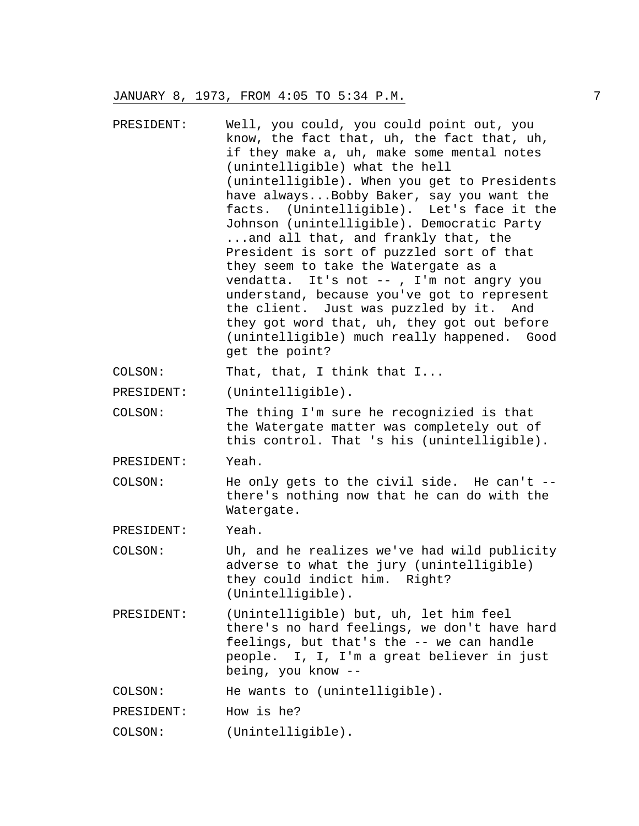| PRESIDENT: | Well, you could, you could point out, you<br>know, the fact that, uh, the fact that, uh,<br>if they make a, uh, make some mental notes<br>(unintelligible) what the hell<br>(unintelligible). When you get to Presidents<br>have alwaysBobby Baker, say you want the<br>facts. (Unintelligible). Let's face it the<br>Johnson (unintelligible). Democratic Party<br>and all that, and frankly that, the<br>President is sort of puzzled sort of that<br>they seem to take the Watergate as a<br>vendatta. It's not --, I'm not angry you<br>understand, because you've got to represent<br>the client. Just was puzzled by it. And<br>they got word that, uh, they got out before<br>(unintelligible) much really happened. Good<br>get the point? |
|------------|----------------------------------------------------------------------------------------------------------------------------------------------------------------------------------------------------------------------------------------------------------------------------------------------------------------------------------------------------------------------------------------------------------------------------------------------------------------------------------------------------------------------------------------------------------------------------------------------------------------------------------------------------------------------------------------------------------------------------------------------------|
| COLSON:    | That, that, I think that I                                                                                                                                                                                                                                                                                                                                                                                                                                                                                                                                                                                                                                                                                                                         |
| PRESIDENT: | (Unintelligible).                                                                                                                                                                                                                                                                                                                                                                                                                                                                                                                                                                                                                                                                                                                                  |
| COLSON:    | The thing I'm sure he recognizied is that<br>the Watergate matter was completely out of<br>this control. That 's his (unintelligible).                                                                                                                                                                                                                                                                                                                                                                                                                                                                                                                                                                                                             |
| PRESIDENT: | Yeah.                                                                                                                                                                                                                                                                                                                                                                                                                                                                                                                                                                                                                                                                                                                                              |
| COLSON:    | He only gets to the civil side. He can't --<br>there's nothing now that he can do with the<br>Watergate.                                                                                                                                                                                                                                                                                                                                                                                                                                                                                                                                                                                                                                           |
| PRESIDENT: | Yeah.                                                                                                                                                                                                                                                                                                                                                                                                                                                                                                                                                                                                                                                                                                                                              |
| COLSON:    | Uh, and he realizes we've had wild publicity<br>adverse to what the jury (unintelligible)<br>they could indict him. Right?<br>(Unintelligible).                                                                                                                                                                                                                                                                                                                                                                                                                                                                                                                                                                                                    |
| PRESIDENT: | (Unintelligible) but, uh, let him feel<br>there's no hard feelings, we don't have hard<br>feelings, but that's the -- we can handle<br>people. I, I, I'm a great believer in just<br>being, you know --                                                                                                                                                                                                                                                                                                                                                                                                                                                                                                                                            |
| COLSON:    | He wants to (unintelligible).                                                                                                                                                                                                                                                                                                                                                                                                                                                                                                                                                                                                                                                                                                                      |
|            |                                                                                                                                                                                                                                                                                                                                                                                                                                                                                                                                                                                                                                                                                                                                                    |

PRESIDENT: How is he?

COLSON: (Unintelligible).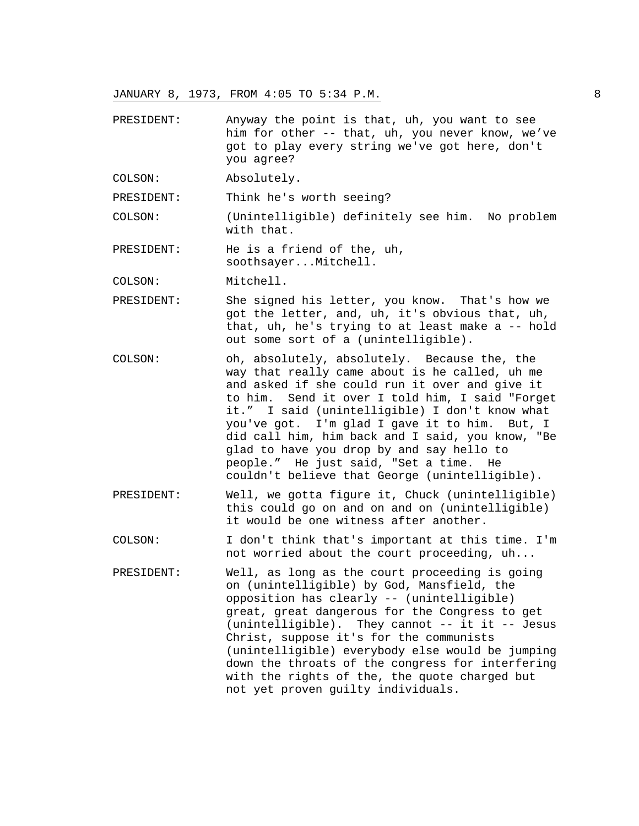- PRESIDENT: Anyway the point is that, uh, you want to see him for other -- that, uh, you never know, we've got to play every string we've got here, don't you agree?
- COLSON: Absolutely.

PRESIDENT: Think he's worth seeing?

COLSON: (Unintelligible) definitely see him. No problem with that.

PRESIDENT: He is a friend of the, uh, soothsayer...Mitchell.

COLSON: Mitchell.

- PRESIDENT: She signed his letter, you know. That's how we got the letter, and, uh, it's obvious that, uh, that, uh, he's trying to at least make a -- hold out some sort of a (unintelligible).
- COLSON: oh, absolutely, absolutely. Because the, the way that really came about is he called, uh me and asked if she could run it over and give it to him. Send it over I told him, I said "Forget it." I said (unintelligible) I don't know what you've got. I'm glad I gave it to him. But, I did call him, him back and I said, you know, "Be glad to have you drop by and say hello to people." He just said, "Set a time. He couldn't believe that George (unintelligible).
- PRESIDENT: Well, we gotta figure it, Chuck (unintelligible) this could go on and on and on (unintelligible) it would be one witness after another.
- COLSON: I don't think that's important at this time. I'm not worried about the court proceeding, uh...
- PRESIDENT: Well, as long as the court proceeding is going on (unintelligible) by God, Mansfield, the opposition has clearly -- (unintelligible) great, great dangerous for the Congress to get (unintelligible). They cannot -- it it -- Jesus Christ, suppose it's for the communists (unintelligible) everybody else would be jumping down the throats of the congress for interfering with the rights of the, the quote charged but not yet proven guilty individuals.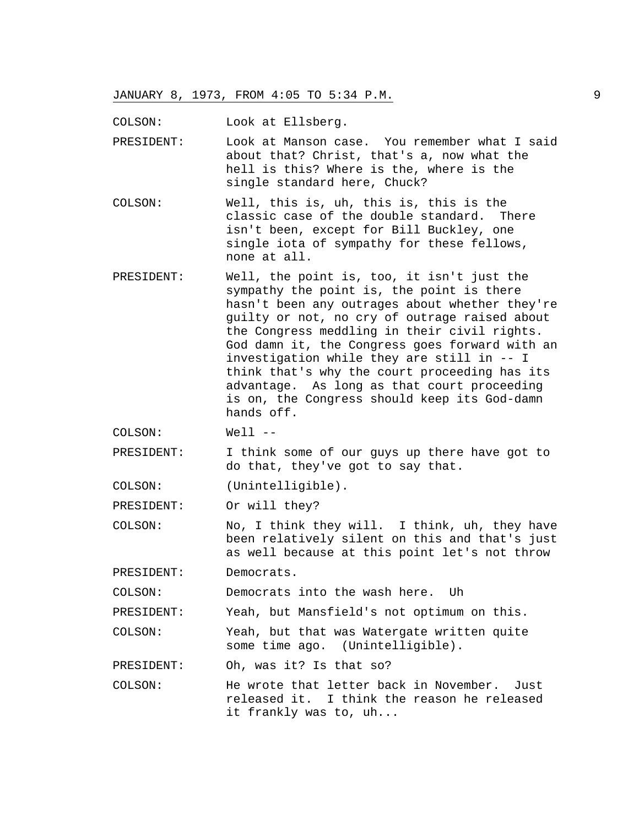COLSON: Look at Ellsberg.

PRESIDENT: Look at Manson case. You remember what I said about that? Christ, that's a, now what the hell is this? Where is the, where is the single standard here, Chuck?

- COLSON: Well, this is, uh, this is, this is the classic case of the double standard. There isn't been, except for Bill Buckley, one single iota of sympathy for these fellows, none at all.
- PRESIDENT: Well, the point is, too, it isn't just the sympathy the point is, the point is there hasn't been any outrages about whether they're guilty or not, no cry of outrage raised about the Congress meddling in their civil rights. God damn it, the Congress goes forward with an investigation while they are still in -- I think that's why the court proceeding has its advantage. As long as that court proceeding is on, the Congress should keep its God-damn hands off.

COLSON: Well --

PRESIDENT: I think some of our guys up there have got to do that, they've got to say that.

COLSON: (Unintelligible).

PRESIDENT: Or will they?

COLSON: No, I think they will. I think, uh, they have been relatively silent on this and that's just as well because at this point let's not throw

PRESIDENT: Democrats.

COLSON: Democrats into the wash here. Uh

PRESIDENT: Yeah, but Mansfield's not optimum on this.

COLSON: Yeah, but that was Watergate written quite some time ago. (Unintelligible).

PRESIDENT: Oh, was it? Is that so?

COLSON: He wrote that letter back in November. Just released it. I think the reason he released it frankly was to, uh...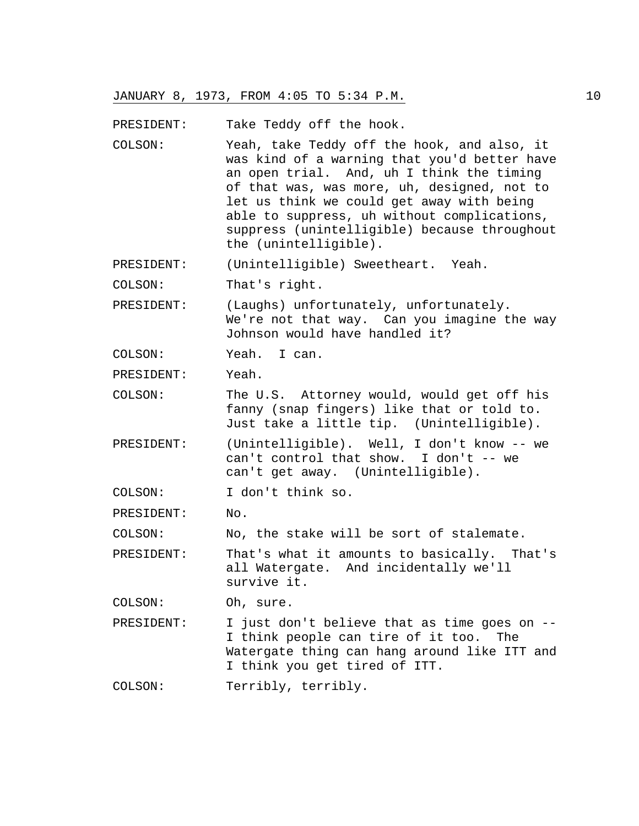PRESIDENT: Take Teddy off the hook.

COLSON: Yeah, take Teddy off the hook, and also, it was kind of a warning that you'd better have an open trial. And, uh I think the timing of that was, was more, uh, designed, not to let us think we could get away with being able to suppress, uh without complications, suppress (unintelligible) because throughout the (unintelligible).

PRESIDENT: (Unintelligible) Sweetheart. Yeah.

COLSON: That's right.

PRESIDENT: (Laughs) unfortunately, unfortunately. We're not that way. Can you imagine the way Johnson would have handled it?

COLSON: Yeah. I can.

PRESIDENT: Yeah.

COLSON: The U.S. Attorney would, would get off his fanny (snap fingers) like that or told to. Just take a little tip. (Unintelligible).

- PRESIDENT: (Unintelligible). Well, I don't know -- we can't control that show. I don't -- we can't get away. (Unintelligible).
- COLSON: I don't think so.

PRESIDENT: No.

COLSON: No, the stake will be sort of stalemate.

PRESIDENT: That's what it amounts to basically. That's all Watergate. And incidentally we'll survive it.

COLSON: Oh, sure.

PRESIDENT: I just don't believe that as time goes on -- I think people can tire of it too. The Watergate thing can hang around like ITT and I think you get tired of ITT.

COLSON: Terribly, terribly.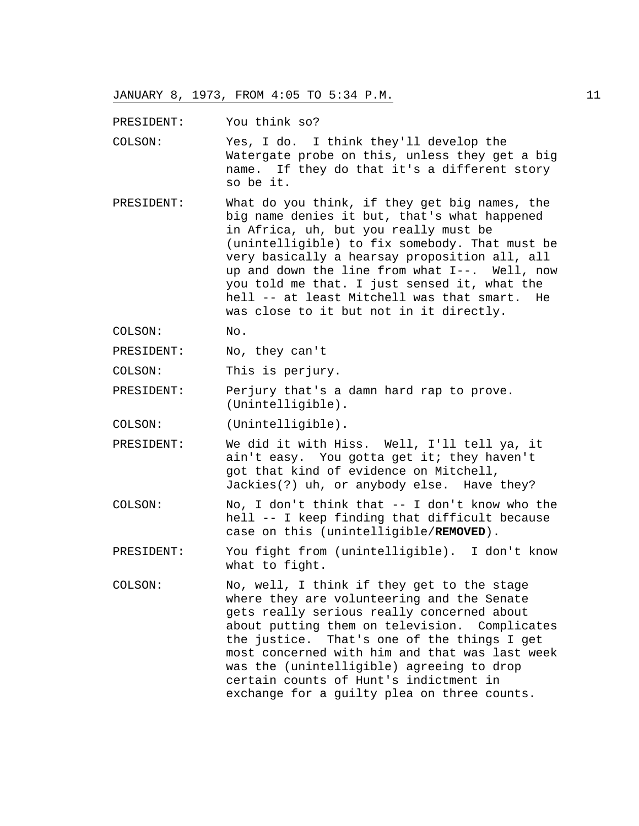PRESIDENT: You think so?

COLSON: Yes, I do. I think they'll develop the Watergate probe on this, unless they get a big name. If they do that it's a different story so be it.

PRESIDENT: What do you think, if they get big names, the big name denies it but, that's what happened in Africa, uh, but you really must be (unintelligible) to fix somebody. That must be very basically a hearsay proposition all, all up and down the line from what I--. Well, now you told me that. I just sensed it, what the hell -- at least Mitchell was that smart. He was close to it but not in it directly.

COLSON: No.

PRESIDENT: No, they can't

COLSON: This is perjury.

PRESIDENT: Perjury that's a damn hard rap to prove. (Unintelligible).

COLSON: (Unintelligible).

PRESIDENT: We did it with Hiss. Well, I'll tell ya, it ain't easy. You gotta get it; they haven't got that kind of evidence on Mitchell, Jackies(?) uh, or anybody else. Have they?

COLSON: No, I don't think that -- I don't know who the hell -- I keep finding that difficult because case on this (unintelligible/**REMOVED**).

PRESIDENT: You fight from (unintelligible). I don't know what to fight.

COLSON: No, well, I think if they get to the stage where they are volunteering and the Senate gets really serious really concerned about about putting them on television. Complicates the justice. That's one of the things I get most concerned with him and that was last week was the (unintelligible) agreeing to drop certain counts of Hunt's indictment in exchange for a guilty plea on three counts.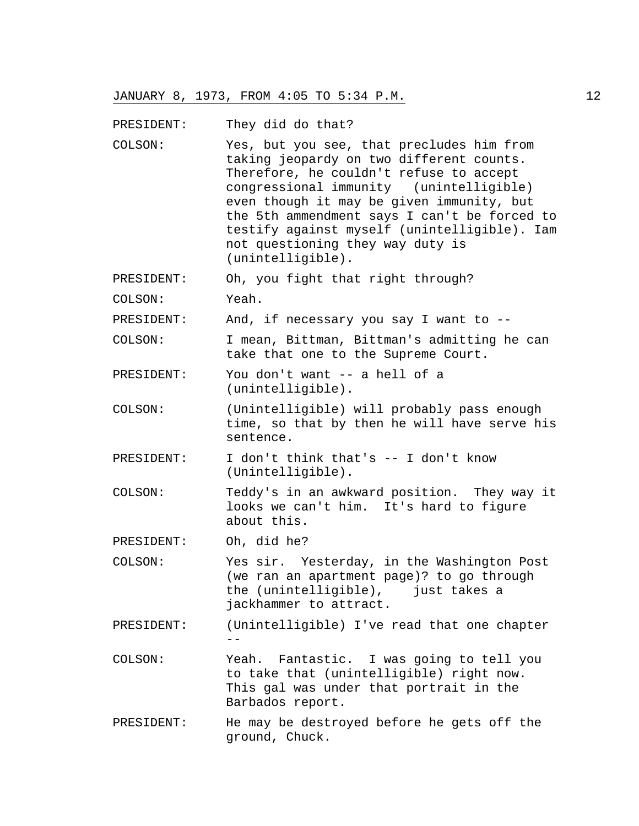PRESIDENT: They did do that?

COLSON: Yes, but you see, that precludes him from taking jeopardy on two different counts. Therefore, he couldn't refuse to accept congressional immunity (unintelligible) even though it may be given immunity, but the 5th ammendment says I can't be forced to testify against myself (unintelligible). Iam not questioning they way duty is (unintelligible).

PRESIDENT: Oh, you fight that right through?

COLSON: Yeah.

PRESIDENT: And, if necessary you say I want to --

COLSON: I mean, Bittman, Bittman's admitting he can take that one to the Supreme Court.

PRESIDENT: You don't want -- a hell of a (unintelligible).

- COLSON: (Unintelligible) will probably pass enough time, so that by then he will have serve his sentence.
- PRESIDENT: I don't think that's -- I don't know (Unintelligible).
- COLSON: Teddy's in an awkward position. They way it looks we can't him. It's hard to figure about this.

PRESIDENT: Oh, did he?

- COLSON: Yes sir. Yesterday, in the Washington Post (we ran an apartment page)? to go through the (unintelligible), just takes a jackhammer to attract.
- PRESIDENT: (Unintelligible) I've read that one chapter --
- COLSON: Yeah. Fantastic. I was going to tell you to take that (unintelligible) right now. This gal was under that portrait in the Barbados report.
- PRESIDENT: He may be destroyed before he gets off the ground, Chuck.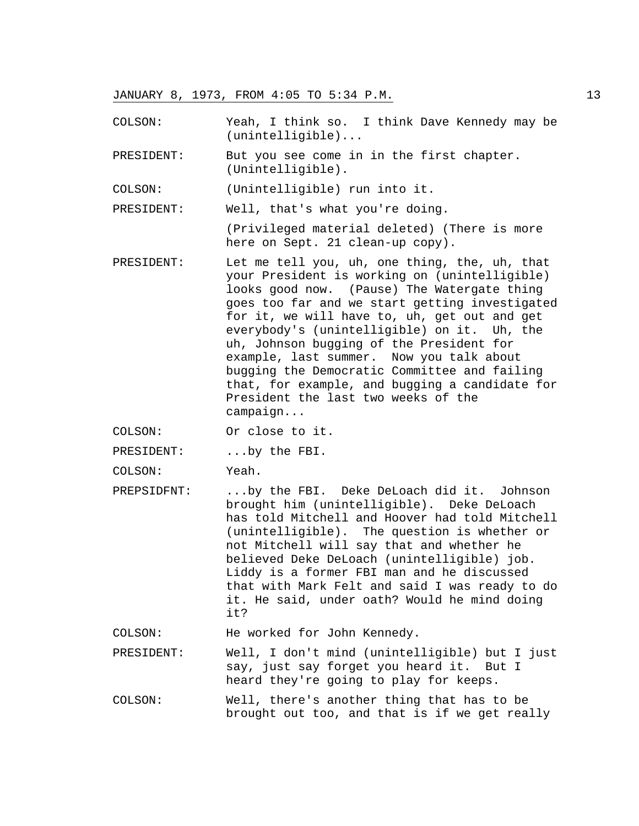COLSON: Yeah, I think so. I think Dave Kennedy may be (unintelligible)...

PRESIDENT: But you see come in in the first chapter. (Unintelligible).

COLSON: (Unintelligible) run into it.

PRESIDENT: Well, that's what you're doing.

(Privileged material deleted) (There is more here on Sept. 21 clean-up copy).

PRESIDENT: Let me tell you, uh, one thing, the, uh, that your President is working on (unintelligible) looks good now. (Pause) The Watergate thing goes too far and we start getting investigated for it, we will have to, uh, get out and get everybody's (unintelligible) on it. Uh, the uh, Johnson bugging of the President for example, last summer. Now you talk about bugging the Democratic Committee and failing that, for example, and bugging a candidate for President the last two weeks of the campaign...

COLSON: Or close to it.

PRESIDENT: ...by the FBI.

COLSON: Yeah.

PREPSIDFNT: ...by the FBI. Deke DeLoach did it. Johnson brought him (unintelligible). Deke DeLoach has told Mitchell and Hoover had told Mitchell (unintelligible). The question is whether or not Mitchell will say that and whether he believed Deke DeLoach (unintelligible) job. Liddy is a former FBI man and he discussed that with Mark Felt and said I was ready to do it. He said, under oath? Would he mind doing it?

COLSON: He worked for John Kennedy.

PRESIDENT: Well, I don't mind (unintelligible) but I just say, just say forget you heard it. But I heard they're going to play for keeps.

COLSON: Well, there's another thing that has to be brought out too, and that is if we get really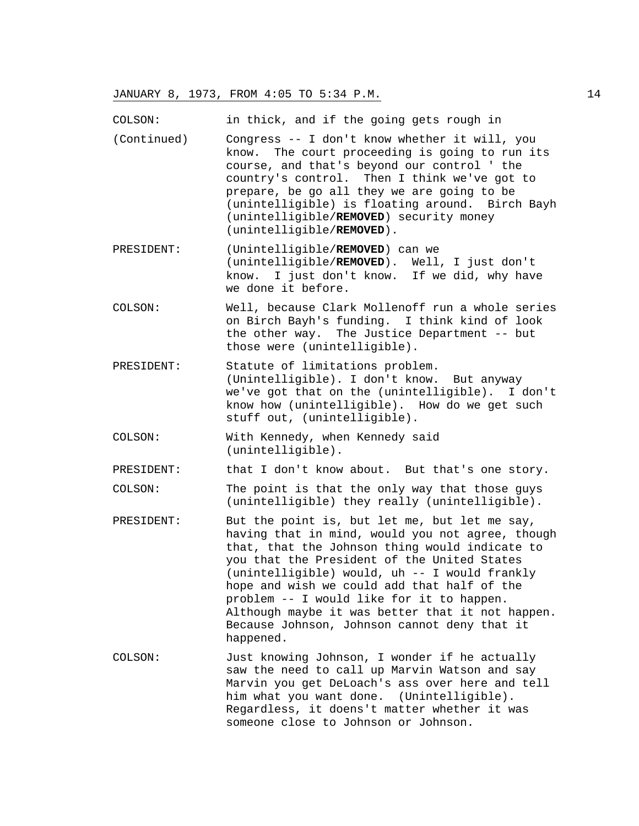COLSON: in thick, and if the going gets rough in

- (Continued) Congress -- I don't know whether it will, you know. The court proceeding is going to run its course, and that's beyond our control ' the country's control. Then I think we've got to prepare, be go all they we are going to be (unintelligible) is floating around. Birch Bayh (unintelligible/**REMOVED**) security money (unintelligible/**REMOVED**).
- PRESIDENT: (Unintelligible/**REMOVED**) can we (unintelligible/**REMOVED**). Well, I just don't know. I just don't know. If we did, why have we done it before.
- COLSON: Well, because Clark Mollenoff run a whole series on Birch Bayh's funding. I think kind of look the other way. The Justice Department -- but those were (unintelligible).
- PRESIDENT: Statute of limitations problem. (Unintelligible). I don't know. But anyway we've got that on the (unintelligible). I don't know how (unintelligible). How do we get such stuff out, (unintelligible).
- COLSON: With Kennedy, when Kennedy said (unintelligible).

PRESIDENT: that I don't know about. But that's one story.

COLSON: The point is that the only way that those guys (unintelligible) they really (unintelligible).

- PRESIDENT: But the point is, but let me, but let me say, having that in mind, would you not agree, though that, that the Johnson thing would indicate to you that the President of the United States (unintelligible) would, uh -- I would frankly hope and wish we could add that half of the problem -- I would like for it to happen. Although maybe it was better that it not happen. Because Johnson, Johnson cannot deny that it happened.
- COLSON: Just knowing Johnson, I wonder if he actually saw the need to call up Marvin Watson and say Marvin you get DeLoach's ass over here and tell him what you want done. (Unintelligible). Regardless, it doens't matter whether it was someone close to Johnson or Johnson.